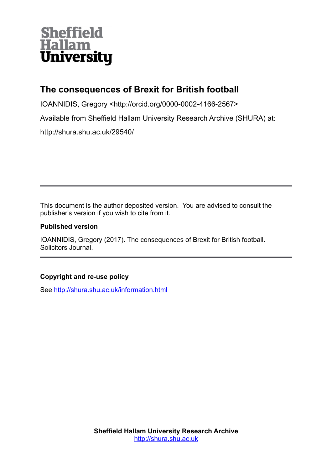# **Sheffield Hallam University**

# **The consequences of Brexit for British football**

IOANNIDIS, Gregory <http://orcid.org/0000-0002-4166-2567>

Available from Sheffield Hallam University Research Archive (SHURA) at:

http://shura.shu.ac.uk/29540/

This document is the author deposited version. You are advised to consult the publisher's version if you wish to cite from it.

### **Published version**

IOANNIDIS, Gregory (2017). The consequences of Brexit for British football. Solicitors Journal.

## **Copyright and re-use policy**

See<http://shura.shu.ac.uk/information.html>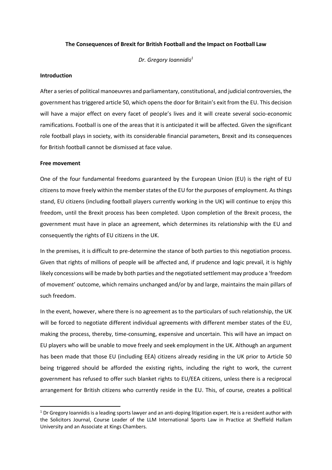#### **The Consequences of Brexit for British Football and the Impact on Football Law**

*Dr. Gregory Ioannidis<sup>1</sup>*

#### **Introduction**

After a series of political manoeuvres and parliamentary, constitutional, and judicial controversies, the government has triggered article 50, which opens the door for Britain's exit from the EU. This decision will have a major effect on every facet of people's lives and it will create several socio-economic ramifications. Football is one of the areas that it is anticipated it will be affected. Given the significant role football plays in society, with its considerable financial parameters, Brexit and its consequences for British football cannot be dismissed at face value.

#### **Free movement**

One of the four fundamental freedoms guaranteed by the European Union (EU) is the right of EU citizens to move freely within the member states of the EU for the purposes of employment. As things stand, EU citizens (including football players currently working in the UK) will continue to enjoy this freedom, until the Brexit process has been completed. Upon completion of the Brexit process, the government must have in place an agreement, which determines its relationship with the EU and consequently the rights of EU citizens in the UK.

In the premises, it is difficult to pre-determine the stance of both parties to this negotiation process. Given that rights of millions of people will be affected and, if prudence and logic prevail, it is highly likely concessions will be made by both parties and the negotiated settlement may produce a 'freedom of movement' outcome, which remains unchanged and/or by and large, maintains the main pillars of such freedom.

In the event, however, where there is no agreement as to the particulars of such relationship, the UK will be forced to negotiate different individual agreements with different member states of the EU, making the process, thereby, time-consuming, expensive and uncertain. This will have an impact on EU players who will be unable to move freely and seek employment in the UK. Although an argument has been made that those EU (including EEA) citizens already residing in the UK prior to Article 50 being triggered should be afforded the existing rights, including the right to work, the current government has refused to offer such blanket rights to EU/EEA citizens, unless there is a reciprocal arrangement for British citizens who currently reside in the EU. This, of course, creates a political

 $1$  Dr Gregory Ioannidis is a leading sports lawyer and an anti-doping litigation expert. He is a resident author with the Solicitors Journal, Course Leader of the LLM International Sports Law in Practice at Sheffield Hallam University and an Associate at Kings Chambers.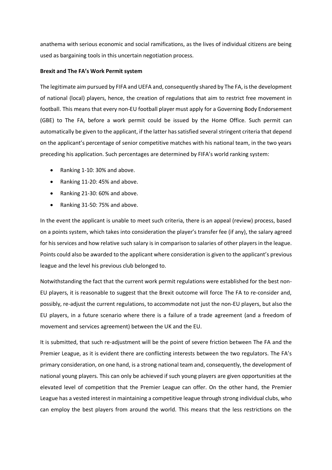anathema with serious economic and social ramifications, as the lives of individual citizens are being used as bargaining tools in this uncertain negotiation process.

#### **Brexit and The FA's Work Permit system**

The legitimate aim pursued by FIFA and UEFA and, consequently shared by The FA, is the development of national (local) players, hence, the creation of regulations that aim to restrict free movement in football. This means that every non-EU football player must apply for a Governing Body Endorsement (GBE) to The FA, before a work permit could be issued by the Home Office. Such permit can automatically be given to the applicant, if the latter has satisfied several stringent criteria that depend on the applicant's percentage of senior competitive matches with his national team, in the two years preceding his application. Such percentages are determined by FIFA's world ranking system:

- Ranking 1-10: 30% and above.
- Ranking 11-20: 45% and above.
- Ranking 21-30: 60% and above.
- Ranking 31-50: 75% and above.

In the event the applicant is unable to meet such criteria, there is an appeal (review) process, based on a points system, which takes into consideration the player's transfer fee (if any), the salary agreed for his services and how relative such salary is in comparison to salaries of other players in the league. Points could also be awarded to the applicant where consideration is given to the applicant's previous league and the level his previous club belonged to.

Notwithstanding the fact that the current work permit regulations were established for the best non-EU players, it is reasonable to suggest that the Brexit outcome will force The FA to re-consider and, possibly, re-adjust the current regulations, to accommodate not just the non-EU players, but also the EU players, in a future scenario where there is a failure of a trade agreement (and a freedom of movement and services agreement) between the UK and the EU.

It is submitted, that such re-adjustment will be the point of severe friction between The FA and the Premier League, as it is evident there are conflicting interests between the two regulators. The FA's primary consideration, on one hand, is a strong national team and, consequently, the development of national young players. This can only be achieved if such young players are given opportunities at the elevated level of competition that the Premier League can offer. On the other hand, the Premier League has a vested interest in maintaining a competitive league through strong individual clubs, who can employ the best players from around the world. This means that the less restrictions on the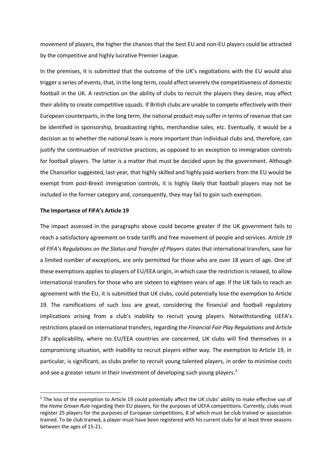movement of players, the higher the chances that the best EU and non-EU players could be attracted by the competitive and highly lucrative Premier League.

In the premises, it is submitted that the outcome of the UK's negotiations with the EU would also trigger a series of events, that, in the long term, could affect severely the competitiveness of domestic football in the UK. A restriction on the ability of clubs to recruit the players they desire, may affect their ability to create competitive squads. If British clubs are unable to compete effectively with their European counterparts, in the long term, the national product may suffer in terms of revenue that can be identified in sponsorship, broadcasting rights, merchandise sales, etc. Eventually, it would be a decision as to whether the national team is more important than individual clubs and, therefore, can justify the continuation of restrictive practices, as opposed to an exception to immigration controls for football players. The latter is a matter that must be decided upon by the government. Although the Chancellor suggested, last year, that highly skilled and highly paid workers from the EU would be exempt from post-Brexit immigration controls, it is highly likely that football players may not be included in the former category and, consequently, they may fail to gain such exemption.

#### **The Importance of FIFA's Article 19**

The impact assessed in the paragraphs above could become greater if the UK government fails to reach a satisfactory agreement on trade tariffs and free movement of people and services. *Article 19* of *FIFA's Regulations on the Status and Transfer of Players* states that international transfers, save for a limited number of exceptions, are only permitted for those who are over 18 years of age. One of these exemptions applies to players of EU/EEA origin, in which case the restriction is relaxed, to allow international transfers for those who are sixteen to eighteen years of age. If the UK fails to reach an agreement with the EU, it is submitted that UK clubs, could potentially lose the exemption to Article 19. The ramifications of such loss are great, considering the financial and football regulatory implications arising from a club's inability to recruit young players. Notwithstanding UEFA's restrictions placed on international transfers, regarding the *Financial Fair Play Regulations* and *Article*  19's applicability, where no EU/EEA countries are concerned, UK clubs will find themselves in a compromising situation, with inability to recruit players either way. The exemption to Article 19, in particular, is significant, as clubs prefer to recruit young talented players, in order to minimise costs and see a greater return in their investment of developing such young players.<sup>2</sup>

 $2$  The loss of the exemption to Article 19 could potentially affect the UK clubs' ability to make effective use of the *Home Grown Rule* regarding their EU players, for the purposes of UEFA competitions. Currently, clubs must register 25 players for the purposes of European competitions, 8 of which must be club trained or association trained. To be club trained, a player must have been registered with his current clubs for at least three seasons between the ages of 15-21.